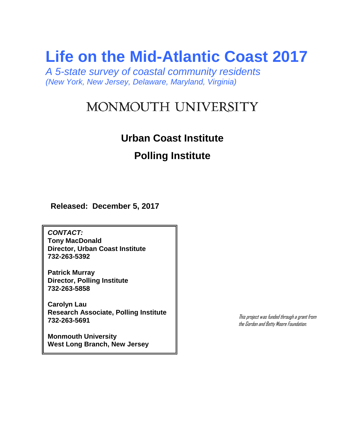# **Life on the Mid-Atlantic Coast 2017**

*A 5-state survey of coastal community residents (New York, New Jersey, Delaware, Maryland, Virginia)*

# MONMOUTH UNIVERSITY

## **Urban Coast Institute**

## **Polling Institute**

**Released: December 5, 2017**

*CONTACT:* **Tony MacDonald Director, Urban Coast Institute 732-263-5392**

**Patrick Murray Director, Polling Institute 732-263-5858**

**Carolyn Lau Research Associate, Polling Institute 732-263-5691**

**Monmouth University West Long Branch, New Jersey** This project was funded through a grant from the Gordon and Betty Moore Foundation.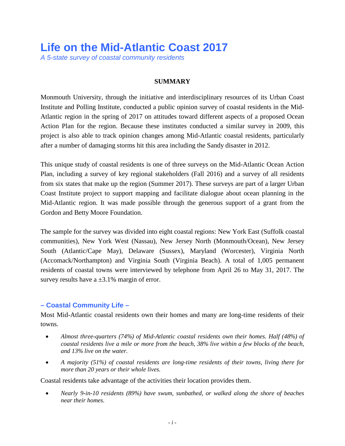# **Life on the Mid-Atlantic Coast 2017**

*A 5-state survey of coastal community residents*

## **SUMMARY**

Monmouth University, through the initiative and interdisciplinary resources of its Urban Coast Institute and Polling Institute, conducted a public opinion survey of coastal residents in the Mid-Atlantic region in the spring of 2017 on attitudes toward different aspects of a proposed Ocean Action Plan for the region. Because these institutes conducted a similar survey in 2009, this project is also able to track opinion changes among Mid-Atlantic coastal residents, particularly after a number of damaging storms hit this area including the Sandy disaster in 2012.

This unique study of coastal residents is one of three surveys on the Mid-Atlantic Ocean Action Plan, including a survey of key regional stakeholders (Fall 2016) and a survey of all residents from six states that make up the region (Summer 2017). These surveys are part of a larger Urban Coast Institute project to support mapping and facilitate dialogue about ocean planning in the Mid-Atlantic region. It was made possible through the generous support of a grant from the Gordon and Betty Moore Foundation.

The sample for the survey was divided into eight coastal regions: New York East (Suffolk coastal communities), New York West (Nassau), New Jersey North (Monmouth/Ocean), New Jersey South (Atlantic/Cape May), Delaware (Sussex), Maryland (Worcester), Virginia North (Accomack/Northampton) and Virginia South (Virginia Beach). A total of 1,005 permanent residents of coastal towns were interviewed by telephone from April 26 to May 31, 2017. The survey results have a  $\pm 3.1\%$  margin of error.

## **– Coastal Community Life –**

Most Mid-Atlantic coastal residents own their homes and many are long-time residents of their towns.

- *Almost three-quarters (74%) of Mid-Atlantic coastal residents own their homes. Half (48%) of coastal residents live a mile or more from the beach, 38% live within a few blocks of the beach, and 13% live on the water.*
- *A majority (51%) of coastal residents are long-time residents of their towns, living there for more than 20 years or their whole lives.*

Coastal residents take advantage of the activities their location provides them.

• *Nearly 9-in-10 residents (89%) have swum, sunbathed, or walked along the shore of beaches near their homes.*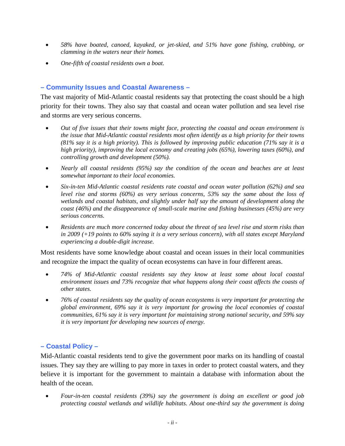- *58% have boated, canoed, kayaked, or jet-skied, and 51% have gone fishing, crabbing, or clamming in the waters near their homes.*
- *One-fifth of coastal residents own a boat.*

## **– Community Issues and Coastal Awareness –**

The vast majority of Mid-Atlantic coastal residents say that protecting the coast should be a high priority for their towns. They also say that coastal and ocean water pollution and sea level rise and storms are very serious concerns.

- *Out of five issues that their towns might face, protecting the coastal and ocean environment is the issue that Mid-Atlantic coastal residents most often identify as a high priority for their towns (81% say it is a high priority). This is followed by improving public education (71% say it is a high priority), improving the local economy and creating jobs (65%), lowering taxes (60%), and controlling growth and development (50%).*
- *Nearly all coastal residents (95%) say the condition of the ocean and beaches are at least somewhat important to their local economies.*
- *Six-in-ten Mid-Atlantic coastal residents rate coastal and ocean water pollution (62%) and sea level rise and storms (60%) as very serious concerns, 53% say the same about the loss of wetlands and coastal habitats, and slightly under half say the amount of development along the coast (46%) and the disappearance of small-scale marine and fishing businesses (45%) are very serious concerns.*
- *Residents are much more concerned today about the threat of sea level rise and storm risks than in 2009 (+19 points to 60% saying it is a very serious concern), with all states except Maryland experiencing a double-digit increase.*

Most residents have some knowledge about coastal and ocean issues in their local communities and recognize the impact the quality of ocean ecosystems can have in four different areas.

- *74% of Mid-Atlantic coastal residents say they know at least some about local coastal environment issues and 73% recognize that what happens along their coast affects the coasts of other states.*
- *76% of coastal residents say the quality of ocean ecosystems is very important for protecting the global environment, 69% say it is very important for growing the local economies of coastal communities, 61% say it is very important for maintaining strong national security, and 59% say it is very important for developing new sources of energy.*

## **– Coastal Policy –**

Mid-Atlantic coastal residents tend to give the government poor marks on its handling of coastal issues. They say they are willing to pay more in taxes in order to protect coastal waters, and they believe it is important for the government to maintain a database with information about the health of the ocean.

• *Four-in-ten coastal residents (39%) say the government is doing an excellent or good job protecting coastal wetlands and wildlife habitats. About one-third say the government is doing*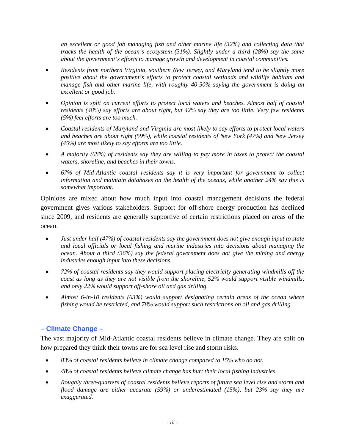*an excellent or good job managing fish and other marine life (32%) and collecting data that tracks the health of the ocean's ecosystem (31%). Slightly under a third (28%) say the same about the government's efforts to manage growth and development in coastal communities.*

- *Residents from northern Virginia, southern New Jersey, and Maryland tend to be slightly more positive about the government's efforts to protect coastal wetlands and wildlife habitats and manage fish and other marine life, with roughly 40-50% saying the government is doing an excellent or good job.*
- *Opinion is split on current efforts to protect local waters and beaches. Almost half of coastal residents (48%) say efforts are about right, but 42% say they are too little. Very few residents (5%) feel efforts are too much.*
- *Coastal residents of Maryland and Virginia are most likely to say efforts to protect local waters and beaches are about right (59%), while coastal residents of New York (47%) and New Jersey (45%) are most likely to say efforts are too little.*
- *A majority (68%) of residents say they are willing to pay more in taxes to protect the coastal waters, shoreline, and beaches in their towns.*
- *67% of Mid-Atlantic coastal residents say it is very important for government to collect information and maintain databases on the health of the oceans, while another 24% say this is somewhat important.*

Opinions are mixed about how much input into coastal management decisions the federal government gives various stakeholders. Support for off-shore energy production has declined since 2009, and residents are generally supportive of certain restrictions placed on areas of the ocean.

- *Just under half (47%) of coastal residents say the government does not give enough input to state and local officials or local fishing and marine industries into decisions about managing the ocean. About a third (36%) say the federal government does not give the mining and energy industries enough input into these decisions.*
- *72% of coastal residents say they would support placing electricity-generating windmills off the coast as long as they are not visible from the shoreline, 52% would support visible windmills, and only 22% would support off-shore oil and gas drilling.*
- *Almost 6-in-10 residents (63%) would support designating certain areas of the ocean where fishing would be restricted, and 78% would support such restrictions on oil and gas drilling.*

## **– Climate Change –**

The vast majority of Mid-Atlantic coastal residents believe in climate change. They are split on how prepared they think their towns are for sea level rise and storm risks.

- *83% of coastal residents believe in climate change compared to 15% who do not.*
- *48% of coastal residents believe climate change has hurt their local fishing industries.*
- *Roughly three-quarters of coastal residents believe reports of future sea level rise and storm and flood damage are either accurate (59%) or underestimated (15%), but 23% say they are exaggerated.*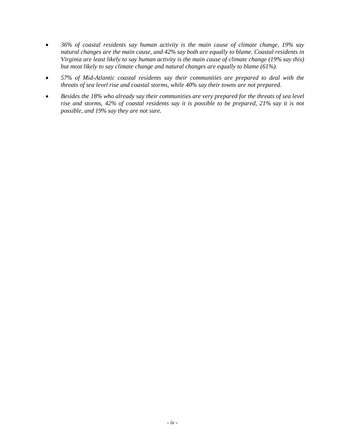- *36% of coastal residents say human activity is the main cause of climate change, 19% say natural changes are the main cause, and 42% say both are equally to blame. Coastal residents in Virginia are least likely to say human activity is the main cause of climate change (19% say this) but most likely to say climate change and natural changes are equally to blame (61%).*
- *57% of Mid-Atlantic coastal residents say their communities are prepared to deal with the threats of sea level rise and coastal storms, while 40% say their towns are not prepared.*
- *Besides the 18% who already say their communities are very prepared for the threats of sea level rise and storms, 42% of coastal residents say it is possible to be prepared, 21% say it is not possible, and 19% say they are not sure.*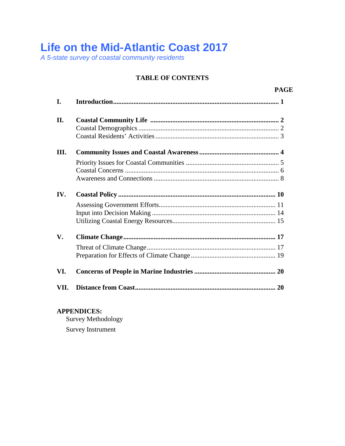## **Life on the Mid-Atlantic Coast 2017**

*A 5-state survey of coastal community residents*

## **TABLE OF CONTENTS**

**PAGE**

| I.   |  |
|------|--|
| II.  |  |
| III. |  |
|      |  |
| IV.  |  |
|      |  |
| V.   |  |
|      |  |
| VI.  |  |
| VII. |  |

**APPENDICES:**

Survey Methodology Survey Instrument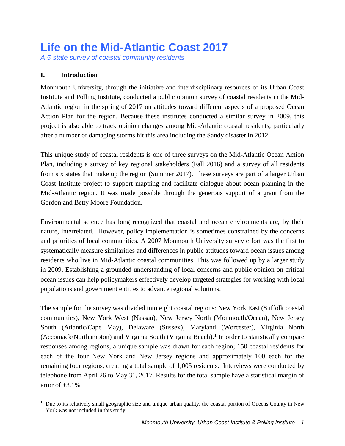# **Life on the Mid-Atlantic Coast 2017**

*A 5-state survey of coastal community residents*

## **I. Introduction**

Monmouth University, through the initiative and interdisciplinary resources of its Urban Coast Institute and Polling Institute, conducted a public opinion survey of coastal residents in the Mid-Atlantic region in the spring of 2017 on attitudes toward different aspects of a proposed Ocean Action Plan for the region. Because these institutes conducted a similar survey in 2009, this project is also able to track opinion changes among Mid-Atlantic coastal residents, particularly after a number of damaging storms hit this area including the Sandy disaster in 2012.

This unique study of coastal residents is one of three surveys on the Mid-Atlantic Ocean Action Plan, including a survey of key regional stakeholders (Fall 2016) and a survey of all residents from six states that make up the region (Summer 2017). These surveys are part of a larger Urban Coast Institute project to support mapping and facilitate dialogue about ocean planning in the Mid-Atlantic region. It was made possible through the generous support of a grant from the Gordon and Betty Moore Foundation.

Environmental science has long recognized that coastal and ocean environments are, by their nature, interrelated. However, policy implementation is sometimes constrained by the concerns and priorities of local communities. A 2007 Monmouth University survey effort was the first to systematically measure similarities and differences in public attitudes toward ocean issues among residents who live in Mid-Atlantic coastal communities. This was followed up by a larger study in 2009. Establishing a grounded understanding of local concerns and public opinion on critical ocean issues can help policymakers effectively develop targeted strategies for working with local populations and government entities to advance regional solutions.

The sample for the survey was divided into eight coastal regions: New York East (Suffolk coastal communities), New York West (Nassau), New Jersey North (Monmouth/Ocean), New Jersey South (Atlantic/Cape May), Delaware (Sussex), Maryland (Worcester), Virginia North (Accomack/Northampton) and Virginia South (Virginia Beach).<sup>[1](#page-6-0)</sup> In order to statistically compare responses among regions, a unique sample was drawn for each region; 150 coastal residents for each of the four New York and New Jersey regions and approximately 100 each for the remaining four regions, creating a total sample of 1,005 residents. Interviews were conducted by telephone from April 26 to May 31, 2017. Results for the total sample have a statistical margin of error of  $\pm 3.1\%$ .

<span id="page-6-0"></span><sup>|&</sup>lt;br>|<br>| <sup>1</sup> Due to its relatively small geographic size and unique urban quality, the coastal portion of Queens County in New York was not included in this study.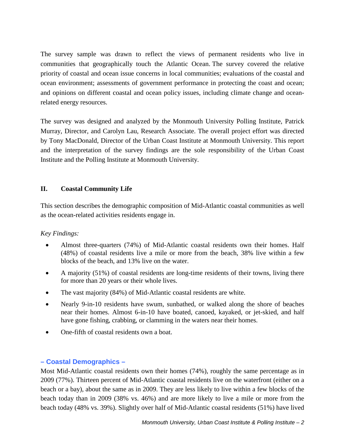The survey sample was drawn to reflect the views of permanent residents who live in communities that geographically touch the Atlantic Ocean. The survey covered the relative priority of coastal and ocean issue concerns in local communities; evaluations of the coastal and ocean environment; assessments of government performance in protecting the coast and ocean; and opinions on different coastal and ocean policy issues, including climate change and oceanrelated energy resources.

The survey was designed and analyzed by the Monmouth University Polling Institute, Patrick Murray, Director, and Carolyn Lau, Research Associate. The overall project effort was directed by Tony MacDonald, Director of the Urban Coast Institute at Monmouth University. This report and the interpretation of the survey findings are the sole responsibility of the Urban Coast Institute and the Polling Institute at Monmouth University.

## **II. Coastal Community Life**

This section describes the demographic composition of Mid-Atlantic coastal communities as well as the ocean-related activities residents engage in.

## *Key Findings:*

- Almost three-quarters (74%) of Mid-Atlantic coastal residents own their homes. Half (48%) of coastal residents live a mile or more from the beach, 38% live within a few blocks of the beach, and 13% live on the water.
- A majority (51%) of coastal residents are long-time residents of their towns, living there for more than 20 years or their whole lives.
- The vast majority (84%) of Mid-Atlantic coastal residents are white.
- Nearly 9-in-10 residents have swum, sunbathed, or walked along the shore of beaches near their homes. Almost 6-in-10 have boated, canoed, kayaked, or jet-skied, and half have gone fishing, crabbing, or clamming in the waters near their homes.
- One-fifth of coastal residents own a boat.

## **– Coastal Demographics –**

Most Mid-Atlantic coastal residents own their homes (74%), roughly the same percentage as in 2009 (77%). Thirteen percent of Mid-Atlantic coastal residents live on the waterfront (either on a beach or a bay), about the same as in 2009. They are less likely to live within a few blocks of the beach today than in 2009 (38% vs. 46%) and are more likely to live a mile or more from the beach today (48% vs. 39%). Slightly over half of Mid-Atlantic coastal residents (51%) have lived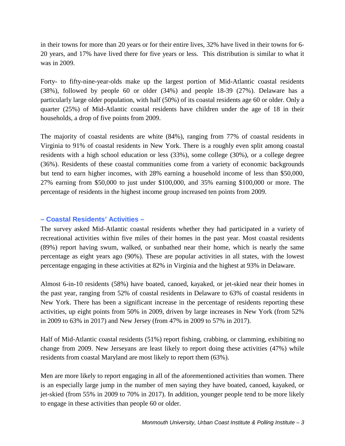in their towns for more than 20 years or for their entire lives, 32% have lived in their towns for 6- 20 years, and 17% have lived there for five years or less. This distribution is similar to what it was in 2009.

Forty- to fifty-nine-year-olds make up the largest portion of Mid-Atlantic coastal residents (38%), followed by people 60 or older (34%) and people 18-39 (27%). Delaware has a particularly large older population, with half (50%) of its coastal residents age 60 or older. Only a quarter (25%) of Mid-Atlantic coastal residents have children under the age of 18 in their households, a drop of five points from 2009.

The majority of coastal residents are white (84%), ranging from 77% of coastal residents in Virginia to 91% of coastal residents in New York. There is a roughly even split among coastal residents with a high school education or less (33%), some college (30%), or a college degree (36%). Residents of these coastal communities come from a variety of economic backgrounds but tend to earn higher incomes, with 28% earning a household income of less than \$50,000, 27% earning from \$50,000 to just under \$100,000, and 35% earning \$100,000 or more. The percentage of residents in the highest income group increased ten points from 2009.

## **– Coastal Residents' Activities –**

The survey asked Mid-Atlantic coastal residents whether they had participated in a variety of recreational activities within five miles of their homes in the past year. Most coastal residents (89%) report having swum, walked, or sunbathed near their home, which is nearly the same percentage as eight years ago (90%). These are popular activities in all states, with the lowest percentage engaging in these activities at 82% in Virginia and the highest at 93% in Delaware.

Almost 6-in-10 residents (58%) have boated, canoed, kayaked, or jet-skied near their homes in the past year, ranging from 52% of coastal residents in Delaware to 63% of coastal residents in New York. There has been a significant increase in the percentage of residents reporting these activities, up eight points from 50% in 2009, driven by large increases in New York (from 52% in 2009 to 63% in 2017) and New Jersey (from 47% in 2009 to 57% in 2017).

Half of Mid-Atlantic coastal residents (51%) report fishing, crabbing, or clamming, exhibiting no change from 2009. New Jerseyans are least likely to report doing these activities (47%) while residents from coastal Maryland are most likely to report them (63%).

Men are more likely to report engaging in all of the aforementioned activities than women. There is an especially large jump in the number of men saying they have boated, canoed, kayaked, or jet-skied (from 55% in 2009 to 70% in 2017). In addition, younger people tend to be more likely to engage in these activities than people 60 or older.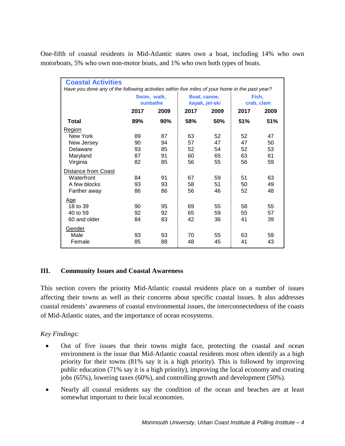One-fifth of coastal residents in Mid-Atlantic states own a boat, including 14% who own motorboats, 5% who own non-motor boats, and 1% who own both types of boats.

| <b>Coastal Activities</b>                                                                      |                         |      |      |                                |                     |      |
|------------------------------------------------------------------------------------------------|-------------------------|------|------|--------------------------------|---------------------|------|
| Have you done any of the following activities within five miles of your home in the past year? |                         |      |      |                                |                     |      |
|                                                                                                | Swim, walk,<br>sunbathe |      |      | Boat, canoe,<br>kayak, jet-ski | Fish,<br>crab, clam |      |
|                                                                                                | 2017                    | 2009 | 2017 | 2009                           |                     | 2009 |
| <b>Total</b>                                                                                   | 89%                     | 90%  | 58%  | 50%                            | 51%                 | 51%  |
| Region                                                                                         |                         |      |      |                                |                     |      |
| New York                                                                                       | 89                      | 87   | 63   | 52                             | 52                  | 47   |
| New Jersey                                                                                     | 90                      | 94   | 57   | 47                             | 47                  | 50   |
| Delaware                                                                                       | 93                      | 85   | 52   | 54                             | 52                  | 53   |
| Maryland                                                                                       | 87                      | 91   | 60   | 65                             | 63                  | 61   |
| Virginia                                                                                       | 82                      | 85   | 56   | 55                             | 56                  | 59   |
| <b>Distance from Coast</b>                                                                     |                         |      |      |                                |                     |      |
| Waterfront                                                                                     | 84                      | 91   | 67   | 59                             | 51                  | 63   |
| A few blocks                                                                                   | 93                      | 93   | 58   | 51                             | 50                  | 49   |
| Farther away                                                                                   | 86                      | 86   | 56   | 46                             | 52                  | 48   |
| <u>Age</u>                                                                                     |                         |      |      |                                |                     |      |
| 18 to 39                                                                                       | 90                      | 95   | 69   | 55                             | 58                  | 55   |
| 40 to 59                                                                                       | 92                      | 92   | 65   | 59                             | 55                  | 57   |
| 60 and older                                                                                   | 84                      | 83   | 42   | 36                             | 41                  | 39   |
| Gender                                                                                         |                         |      |      |                                |                     |      |
| Male                                                                                           | 93                      | 93   | 70   | 55                             | 63                  | 59   |
| Female                                                                                         | 85                      | 88   | 48   | 45                             | 41                  | 43   |
|                                                                                                |                         |      |      |                                |                     |      |

## **III. Community Issues and Coastal Awareness**

This section covers the priority Mid-Atlantic coastal residents place on a number of issues affecting their towns as well as their concerns about specific coastal issues. It also addresses coastal residents' awareness of coastal environmental issues, the interconnectedness of the coasts of Mid-Atlantic states, and the importance of ocean ecosystems.

## *Key Findings:*

- Out of five issues that their towns might face, protecting the coastal and ocean environment is the issue that Mid-Atlantic coastal residents most often identify as a high priority for their towns (81% say it is a high priority). This is followed by improving public education (71% say it is a high priority), improving the local economy and creating jobs (65%), lowering taxes (60%), and controlling growth and development (50%).
- Nearly all coastal residents say the condition of the ocean and beaches are at least somewhat important to their local economies.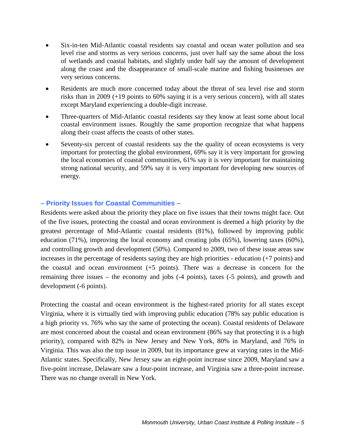- Six-in-ten Mid-Atlantic coastal residents say coastal and ocean water pollution and sea level rise and storms as very serious concerns, just over half say the same about the loss of wetlands and coastal habitats, and slightly under half say the amount of development along the coast and the disappearance of small-scale marine and fishing businesses are very serious concerns.
- Residents are much more concerned today about the threat of sea level rise and storm risks than in 2009 (+19 points to 60% saying it is a very serious concern), with all states except Maryland experiencing a double-digit increase.
- Three-quarters of Mid-Atlantic coastal residents say they know at least some about local coastal environment issues. Roughly the same proportion recognize that what happens along their coast affects the coasts of other states.
- Seventy-six percent of coastal residents say the the quality of ocean ecosystems is very important for protecting the global environment, 69% say it is very important for growing the local economies of coastal communities, 61% say it is very important for maintaining strong national security, and 59% say it is very important for developing new sources of energy.

## **– Priority Issues for Coastal Communities –**

Residents were asked about the priority they place on five issues that their towns might face. Out of the five issues, protecting the coastal and ocean environment is deemed a high priority by the greatest percentage of Mid-Atlantic coastal residents (81%), followed by improving public education (71%), improving the local economy and creating jobs (65%), lowering taxes (60%), and controlling growth and development (50%). Compared to 2009, two of these issue areas saw increases in the percentage of residents saying they are high priorities - education (+7 points) and the coastal and ocean environment (+5 points). There was a decrease in concern for the remaining three issues – the economy and jobs (-4 points), taxes (-5 points), and growth and development (-6 points).

Protecting the coastal and ocean environment is the highest-rated priority for all states except Virginia, where it is virtually tied with improving public education (78% say public education is a high priority vs. 76% who say the same of protecting the ocean). Coastal residents of Delaware are most concerned about the coastal and ocean environment (86% say that protecting it is a high priority), compared with 82% in New Jersey and New York, 80% in Maryland, and 76% in Virginia. This was also the top issue in 2009, but its importance grew at varying rates in the Mid-Atlantic states. Specifically, New Jersey saw an eight-point increase since 2009, Maryland saw a five-point increase, Delaware saw a four-point increase, and Virginia saw a three-point increase. There was no change overall in New York.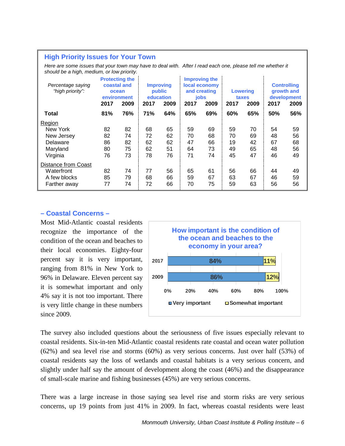#### **High Priority Issues for Your Town**

Here are some issues that your town may have to deal with. After I read each one, please tell me whether it *should be a high, medium, or low priority.*

| Percentage saying<br>"high priority": | 2017 | <b>Protecting the</b><br>coastal and<br><b>Improving</b><br>public<br>ocean<br>education<br>environment<br>2009<br>2009<br>2017 |            | Improving the<br>local economy<br>and creating<br>jobs<br>2009<br>2017 |     | <b>Lowering</b><br>taxes<br>2009<br>2017 |     | <b>Controlling</b><br>growth and<br>development<br>2017<br>2009 |     |     |
|---------------------------------------|------|---------------------------------------------------------------------------------------------------------------------------------|------------|------------------------------------------------------------------------|-----|------------------------------------------|-----|-----------------------------------------------------------------|-----|-----|
| Total                                 | 81%  | 76%                                                                                                                             | <b>71%</b> | 64%                                                                    | 65% | 69%                                      | 60% | 65%                                                             | 50% | 56% |
| Region                                |      |                                                                                                                                 |            |                                                                        |     |                                          |     |                                                                 |     |     |
| New York                              | 82   | 82                                                                                                                              | 68         | 65                                                                     | 59  | 69                                       | 59  | 70                                                              | 54  | 59  |
| New Jersey                            | 82   | 74                                                                                                                              | 72         | 62                                                                     | 70  | 68                                       | 70  | 69                                                              | 48  | 56  |
| Delaware                              | 86   | 82                                                                                                                              | 62         | 62                                                                     | 47  | 66                                       | 19  | 42                                                              | 67  | 68  |
| Maryland                              | 80   | 75                                                                                                                              | 62         | 51                                                                     | 64  | 73                                       | 49  | 65                                                              | 48  | 56  |
| Virginia                              | 76   | 73                                                                                                                              | 78         | 76                                                                     | 71  | 74                                       | 45  | 47                                                              | 46  | 49  |
| <b>Distance from Coast</b>            |      |                                                                                                                                 |            |                                                                        |     |                                          |     |                                                                 |     |     |
| Waterfront                            | 82   | 74                                                                                                                              | 77         | 56                                                                     | 65  | 61                                       | 56  | 66                                                              | 44  | 49  |
| A few blocks                          | 85   | 79                                                                                                                              | 68         | 66                                                                     | 59  | 67                                       | 63  | 67                                                              | 46  | 59  |
| Farther away                          | 77   | 74                                                                                                                              | 72         | 66                                                                     | 70  | 75                                       | 59  | 63                                                              | 56  | 56  |

#### **– Coastal Concerns –**

Most Mid-Atlantic coastal residents recognize the importance of the condition of the ocean and beaches to their local economies. Eighty-four percent say it is very important, ranging from 81% in New York to 96% in Delaware. Eleven percent say it is somewhat important and only 4% say it is not too important. There is very little change in these numbers since 2009.



The survey also included questions about the seriousness of five issues especially relevant to coastal residents. Six-in-ten Mid-Atlantic coastal residents rate coastal and ocean water pollution (62%) and sea level rise and storms (60%) as very serious concerns. Just over half (53%) of coastal residents say the loss of wetlands and coastal habitats is a very serious concern, and slightly under half say the amount of development along the coast (46%) and the disappearance of small-scale marine and fishing businesses (45%) are very serious concerns.

There was a large increase in those saying sea level rise and storm risks are very serious concerns, up 19 points from just 41% in 2009. In fact, whereas coastal residents were least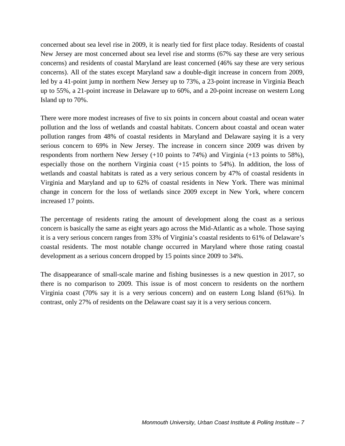concerned about sea level rise in 2009, it is nearly tied for first place today. Residents of coastal New Jersey are most concerned about sea level rise and storms (67% say these are very serious concerns) and residents of coastal Maryland are least concerned (46% say these are very serious concerns). All of the states except Maryland saw a double-digit increase in concern from 2009, led by a 41-point jump in northern New Jersey up to 73%, a 23-point increase in Virginia Beach up to 55%, a 21-point increase in Delaware up to 60%, and a 20-point increase on western Long Island up to 70%.

There were more modest increases of five to six points in concern about coastal and ocean water pollution and the loss of wetlands and coastal habitats. Concern about coastal and ocean water pollution ranges from 48% of coastal residents in Maryland and Delaware saying it is a very serious concern to 69% in New Jersey. The increase in concern since 2009 was driven by respondents from northern New Jersey (+10 points to 74%) and Virginia (+13 points to 58%), especially those on the northern Virginia coast (+15 points to 54%). In addition, the loss of wetlands and coastal habitats is rated as a very serious concern by 47% of coastal residents in Virginia and Maryland and up to 62% of coastal residents in New York. There was minimal change in concern for the loss of wetlands since 2009 except in New York, where concern increased 17 points.

The percentage of residents rating the amount of development along the coast as a serious concern is basically the same as eight years ago across the Mid-Atlantic as a whole. Those saying it is a very serious concern ranges from 33% of Virginia's coastal residents to 61% of Delaware's coastal residents. The most notable change occurred in Maryland where those rating coastal development as a serious concern dropped by 15 points since 2009 to 34%.

The disappearance of small-scale marine and fishing businesses is a new question in 2017, so there is no comparison to 2009. This issue is of most concern to residents on the northern Virginia coast (70% say it is a very serious concern) and on eastern Long Island (61%). In contrast, only 27% of residents on the Delaware coast say it is a very serious concern.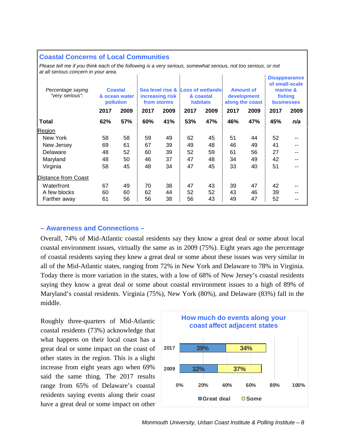#### **Coastal Concerns of Local Communities**

*Please tell me if you think each of the following is a very serious, somewhat serious, not too serious, or not at all serious concern in your area.*

| Percentage saying<br>"very serious": |      | <b>Coastal</b><br>& ocean water<br>pollution |      | increasing risk<br>from storms |      | Sea level rise & Loss of wetlands<br>& coastal<br><b>habitats</b> |      | <b>Amount of</b><br>development<br>along the coast |      | <b>Disappearance</b><br>of small-scale<br>marine &<br>fishing<br><b>businesses</b> |
|--------------------------------------|------|----------------------------------------------|------|--------------------------------|------|-------------------------------------------------------------------|------|----------------------------------------------------|------|------------------------------------------------------------------------------------|
|                                      | 2017 | 2009                                         | 2017 | 2009                           | 2017 | 2009                                                              | 2017 | 2009                                               | 2017 | 2009                                                                               |
| <b>Total</b>                         | 62%  | 57%                                          | 60%  | 41%                            | 53%  | 47%                                                               | 46%  | 47%                                                | 45%  | n/a                                                                                |
| Region                               |      |                                              |      |                                |      |                                                                   |      |                                                    |      |                                                                                    |
| New York                             | 58   | 58                                           | 59   | 49                             | 62   | 45                                                                | 51   | 44                                                 | 52   |                                                                                    |
| New Jersey                           | 69   | 61                                           | 67   | 39                             | 49   | 48                                                                | 46   | 49                                                 | 41   |                                                                                    |
| Delaware                             | 48   | 52                                           | 60   | 39                             | 52   | 59                                                                | 61   | 56                                                 | 27   |                                                                                    |
| Maryland                             | 48   | 50                                           | 46   | 37                             | 47   | 48                                                                | 34   | 49                                                 | 42   |                                                                                    |
| Virginia                             | 58   | 45                                           | 48   | 34                             | 47   | 45                                                                | 33   | 40                                                 | 51   |                                                                                    |
| Distance from Coast                  |      |                                              |      |                                |      |                                                                   |      |                                                    |      |                                                                                    |
| Waterfront                           | 67   | 49                                           | 70   | 38                             | 47   | 43                                                                | 39   | 47                                                 | 42   |                                                                                    |
| A few blocks                         | 60   | 60                                           | 62   | 44                             | 52   | 52                                                                | 43   | 46                                                 | 39   |                                                                                    |
| Farther away                         | 61   | 56                                           | 56   | 38                             | 56   | 43                                                                | 49   | 47                                                 | 52   |                                                                                    |

#### **– Awareness and Connections –**

Overall, 74% of Mid-Atlantic coastal residents say they know a great deal or some about local coastal environment issues, virtually the same as in 2009 (75%). Eight years ago the percentage of coastal residents saying they knew a great deal or some about these issues was very similar in all of the Mid-Atlantic states, ranging from 72% in New York and Delaware to 78% in Virginia. Today there is more variation in the states, with a low of 68% of New Jersey's coastal residents saying they know a great deal or some about coastal environment issues to a high of 89% of Maryland's coastal residents. Virginia (75%), New York (80%), and Delaware (83%) fall in the middle.

Roughly three-quarters of Mid-Atlantic coastal residents (73%) acknowledge that what happens on their local coast has a great deal or some impact on the coast of other states in the region. This is a slight increase from eight years ago when 69% said the same thing. The 2017 results range from 65% of Delaware's coastal residents saying events along their coast have a great deal or some impact on other

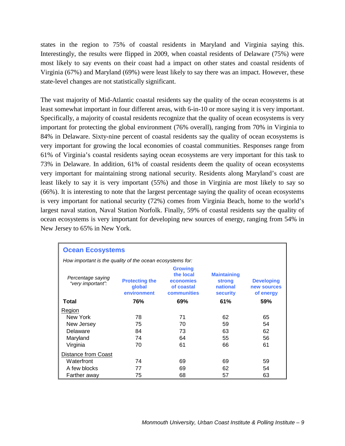states in the region to 75% of coastal residents in Maryland and Virginia saying this. Interestingly, the results were flipped in 2009, when coastal residents of Delaware (75%) were most likely to say events on their coast had a impact on other states and coastal residents of Virginia (67%) and Maryland (69%) were least likely to say there was an impact. However, these state-level changes are not statistically significant.

The vast majority of Mid-Atlantic coastal residents say the quality of the ocean ecosystems is at least somewhat important in four different areas, with 6-in-10 or more saying it is very important. Specifically, a majority of coastal residents recognize that the quality of ocean ecosystems is very important for protecting the global environment (76% overall), ranging from 70% in Virginia to 84% in Delaware. Sixty-nine percent of coastal residents say the quality of ocean ecosystems is very important for growing the local economies of coastal communities. Responses range from 61% of Virginia's coastal residents saying ocean ecosystems are very important for this task to 73% in Delaware. In addition, 61% of coastal residents deem the quality of ocean ecosystems very important for maintaining strong national security. Residents along Maryland's coast are least likely to say it is very important (55%) and those in Virginia are most likely to say so (66%). It is interesting to note that the largest percentage saying the quality of ocean ecosystems is very important for national security (72%) comes from Virginia Beach, home to the world's largest naval station, Naval Station Norfolk. Finally, 59% of coastal residents say the quality of ocean ecosystems is very important for developing new sources of energy, ranging from 54% in New Jersey to 65% in New York.

| <b>Ocean Ecosystems</b>                                   |                                                |                                                                              |                                                                    |                                               |  |  |  |  |  |  |
|-----------------------------------------------------------|------------------------------------------------|------------------------------------------------------------------------------|--------------------------------------------------------------------|-----------------------------------------------|--|--|--|--|--|--|
| How important is the quality of the ocean ecosystems for: |                                                |                                                                              |                                                                    |                                               |  |  |  |  |  |  |
| Percentage saying<br>"very important":                    | <b>Protecting the</b><br>qlobal<br>environment | <b>Growing</b><br>the local<br><b>economies</b><br>of coastal<br>communities | <b>Maintaining</b><br><b>strong</b><br>national<br><b>security</b> | <b>Developing</b><br>new sources<br>of energy |  |  |  |  |  |  |
| Total                                                     | 76%                                            | 69%                                                                          | 61%                                                                | 59%                                           |  |  |  |  |  |  |
| <b>Region</b>                                             |                                                |                                                                              |                                                                    |                                               |  |  |  |  |  |  |
| New York                                                  | 78                                             | 71                                                                           | 62                                                                 | 65                                            |  |  |  |  |  |  |
| New Jersey                                                | 75                                             | 70                                                                           | 59                                                                 | 54                                            |  |  |  |  |  |  |
| Delaware                                                  | 84                                             | 73                                                                           | 63                                                                 | 62                                            |  |  |  |  |  |  |
| Maryland                                                  | 74                                             | 64                                                                           | 55                                                                 | 56                                            |  |  |  |  |  |  |
| Virginia                                                  | 70                                             | 61                                                                           | 66                                                                 | 61                                            |  |  |  |  |  |  |
| Distance from Coast                                       |                                                |                                                                              |                                                                    |                                               |  |  |  |  |  |  |
| Waterfront                                                | 74                                             | 69                                                                           | 69                                                                 | 59                                            |  |  |  |  |  |  |
| A few blocks                                              | 77                                             | 69                                                                           | 62                                                                 | 54                                            |  |  |  |  |  |  |
| Farther away                                              | 75                                             | 68                                                                           | 57                                                                 | 63                                            |  |  |  |  |  |  |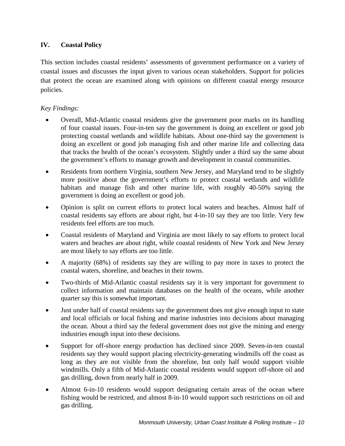## **IV. Coastal Policy**

This section includes coastal residents' assessments of government performance on a variety of coastal issues and discusses the input given to various ocean stakeholders. Support for policies that protect the ocean are examined along with opinions on different coastal energy resource policies.

## *Key Findings:*

- Overall, Mid-Atlantic coastal residents give the government poor marks on its handling of four coastal issues. Four-in-ten say the government is doing an excellent or good job protecting coastal wetlands and wildlife habitats. About one-third say the government is doing an excellent or good job managing fish and other marine life and collecting data that tracks the health of the ocean's ecosystem. Slightly under a third say the same about the government's efforts to manage growth and development in coastal communities.
- Residents from northern Virginia, southern New Jersey, and Maryland tend to be slightly more positive about the government's efforts to protect coastal wetlands and wildlife habitats and manage fish and other marine life, with roughly 40-50% saying the government is doing an excellent or good job.
- Opinion is split on current efforts to protect local waters and beaches. Almost half of coastal residents say efforts are about right, but 4-in-10 say they are too little. Very few residents feel efforts are too much.
- Coastal residents of Maryland and Virginia are most likely to say efforts to protect local waters and beaches are about right, while coastal residents of New York and New Jersey are most likely to say efforts are too little.
- A majority (68%) of residents say they are willing to pay more in taxes to protect the coastal waters, shoreline, and beaches in their towns.
- Two-thirds of Mid-Atlantic coastal residents say it is very important for government to collect information and maintain databases on the health of the oceans, while another quarter say this is somewhat important.
- Just under half of coastal residents say the government does not give enough input to state and local officials or local fishing and marine industries into decisions about managing the ocean. About a third say the federal government does not give the mining and energy industries enough input into these decisions.
- Support for off-shore energy production has declined since 2009. Seven-in-ten coastal residents say they would support placing electricity-generating windmills off the coast as long as they are not visible from the shoreline, but only half would support visible windmills. Only a fifth of Mid-Atlantic coastal residents would support off-shore oil and gas drilling, down from nearly half in 2009.
- Almost 6-in-10 residents would support designating certain areas of the ocean where fishing would be restricted, and almost 8-in-10 would support such restrictions on oil and gas drilling.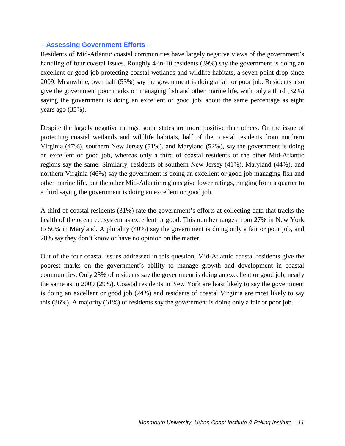## **– Assessing Government Efforts –**

Residents of Mid-Atlantic coastal communities have largely negative views of the government's handling of four coastal issues. Roughly 4-in-10 residents (39%) say the government is doing an excellent or good job protecting coastal wetlands and wildlife habitats, a seven-point drop since 2009. Meanwhile, over half (53%) say the government is doing a fair or poor job. Residents also give the government poor marks on managing fish and other marine life, with only a third (32%) saying the government is doing an excellent or good job, about the same percentage as eight years ago (35%).

Despite the largely negative ratings, some states are more positive than others. On the issue of protecting coastal wetlands and wildlife habitats, half of the coastal residents from northern Virginia (47%), southern New Jersey (51%), and Maryland (52%), say the government is doing an excellent or good job, whereas only a third of coastal residents of the other Mid-Atlantic regions say the same. Similarly, residents of southern New Jersey (41%), Maryland (44%), and northern Virginia (46%) say the government is doing an excellent or good job managing fish and other marine life, but the other Mid-Atlantic regions give lower ratings, ranging from a quarter to a third saying the government is doing an excellent or good job.

A third of coastal residents (31%) rate the government's efforts at collecting data that tracks the health of the ocean ecosystem as excellent or good. This number ranges from 27% in New York to 50% in Maryland. A plurality (40%) say the government is doing only a fair or poor job, and 28% say they don't know or have no opinion on the matter.

Out of the four coastal issues addressed in this question, Mid-Atlantic coastal residents give the poorest marks on the government's ability to manage growth and development in coastal communities. Only 28% of residents say the government is doing an excellent or good job, nearly the same as in 2009 (29%). Coastal residents in New York are least likely to say the government is doing an excellent or good job (24%) and residents of coastal Virginia are most likely to say this (36%). A majority (61%) of residents say the government is doing only a fair or poor job.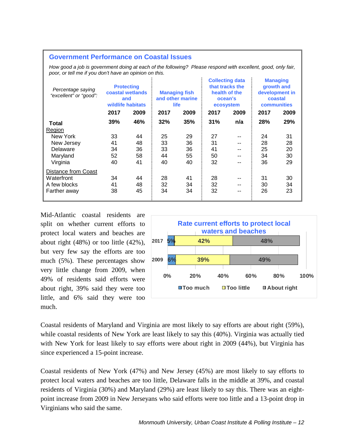#### **Government Performance on Coastal Issues**

*How good a job is government doing at each of the following? Please respond with excellent, good, only fair, poor, or tell me if you don't have an opinion on this.*

| Percentage saying<br>"excellent" or "good": | <b>Protecting</b><br>coastal wetlands<br>and<br>wildlife habitats |      | <b>Managing fish</b><br>and other marine<br>life<br>2017<br>2009 |     | <b>Collecting data</b><br>that tracks the<br>health of the<br>ocean's<br>ecosystem<br>2017<br>2009 |     | <b>Managing</b><br>growth and<br>development in<br>coastal<br><b>communities</b> |      |
|---------------------------------------------|-------------------------------------------------------------------|------|------------------------------------------------------------------|-----|----------------------------------------------------------------------------------------------------|-----|----------------------------------------------------------------------------------|------|
|                                             | 2017                                                              | 2009 |                                                                  |     |                                                                                                    |     | 2017                                                                             | 2009 |
| Total                                       | 39%                                                               | 46%  | 32%                                                              | 35% | 31%                                                                                                | n/a | 28%                                                                              | 29%  |
| Region                                      |                                                                   |      |                                                                  |     |                                                                                                    |     |                                                                                  |      |
| New York                                    | 33                                                                | 44   | 25                                                               | 29  | 27                                                                                                 | --  | 24                                                                               | 31   |
| New Jersey                                  | 41                                                                | 48   | 33                                                               | 36  | 31                                                                                                 | --  | 28                                                                               | 28   |
| Delaware                                    | 34                                                                | 36   | 33                                                               | 36  | 41                                                                                                 | --  | 25                                                                               | 20   |
| Maryland                                    | 52                                                                | 58   | 44                                                               | 55  | 50                                                                                                 | $-$ | 34                                                                               | 30   |
| Virginia                                    | 40                                                                | 41   | 40                                                               | 40  | 32                                                                                                 | $-$ | 36                                                                               | 29   |
| Distance from Coast                         |                                                                   |      |                                                                  |     |                                                                                                    |     |                                                                                  |      |
| Waterfront                                  | 34                                                                | 44   | 28                                                               | 41  | 28                                                                                                 | --  | 31                                                                               | 30   |
| A few blocks                                | 41                                                                | 48   | 32                                                               | 34  | 32                                                                                                 | --  | 30                                                                               | 34   |
| Farther away                                | 38                                                                | 45   | 34                                                               | 34  | 32                                                                                                 | --  | 26                                                                               | 23   |

Mid-Atlantic coastal residents are split on whether current efforts to protect local waters and beaches are about right (48%) or too little (42%), but very few say the efforts are too much (5%). These percentages show very little change from 2009, when 49% of residents said efforts were about right, 39% said they were too little, and 6% said they were too much.



Coastal residents of Maryland and Virginia are most likely to say efforts are about right (59%), while coastal residents of New York are least likely to say this (40%). Virginia was actually tied with New York for least likely to say efforts were about right in 2009 (44%), but Virginia has since experienced a 15-point increase.

Coastal residents of New York (47%) and New Jersey (45%) are most likely to say efforts to protect local waters and beaches are too little, Delaware falls in the middle at 39%, and coastal residents of Virginia (30%) and Maryland (29%) are least likely to say this. There was an eightpoint increase from 2009 in New Jerseyans who said efforts were too little and a 13-point drop in Virginians who said the same.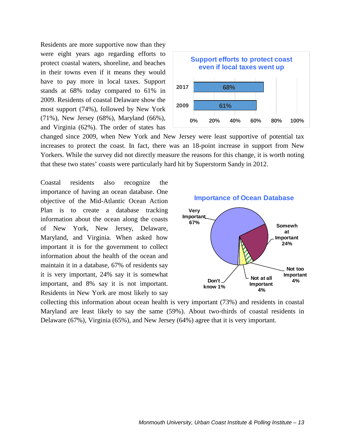Residents are more supportive now than they were eight years ago regarding efforts to protect coastal waters, shoreline, and beaches in their towns even if it means they would have to pay more in local taxes. Support stands at 68% today compared to 61% in 2009. Residents of coastal Delaware show the most support (74%), followed by New York (71%), New Jersey (68%), Maryland (66%), and Virginia (62%). The order of states has



changed since 2009, when New York and New Jersey were least supportive of potential tax increases to protect the coast. In fact, there was an 18-point increase in support from New Yorkers. While the survey did not directly measure the reasons for this change, it is worth noting that these two states' coasts were particularly hard hit by Superstorm Sandy in 2012.

Coastal residents also recognize the importance of having an ocean database. One objective of the Mid-Atlantic Ocean Action Plan is to create a database tracking information about the ocean along the coasts of New York, New Jersey, Delaware, Maryland, and Virginia. When asked how important it is for the government to collect information about the health of the ocean and maintain it in a database, 67% of residents say it is very important, 24% say it is somewhat important, and 8% say it is not important. Residents in New York are most likely to say



collecting this information about ocean health is very important (73%) and residents in coastal Maryland are least likely to say the same (59%). About two-thirds of coastal residents in Delaware (67%), Virginia (65%), and New Jersey (64%) agree that it is very important.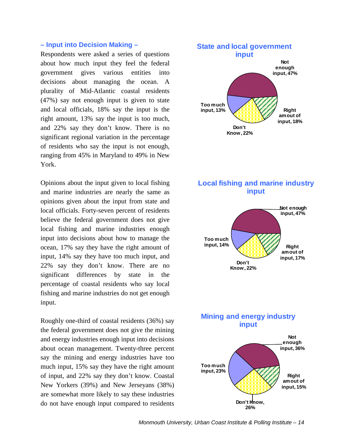### **– Input into Decision Making –**

Respondents were asked a series of questions about how much input they feel the federal government gives various entities into decisions about managing the ocean. A plurality of Mid-Atlantic coastal residents (47%) say not enough input is given to state and local officials, 18% say the input is the right amount, 13% say the input is too much, and 22% say they don't know. There is no significant regional variation in the percentage of residents who say the input is not enough, ranging from 45% in Maryland to 49% in New York.

Opinions about the input given to local fishing and marine industries are nearly the same as opinions given about the input from state and local officials. Forty-seven percent of residents believe the federal government does not give local fishing and marine industries enough input into decisions about how to manage the ocean, 17% say they have the right amount of input, 14% say they have too much input, and 22% say they don't know. There are no significant differences by state in the percentage of coastal residents who say local fishing and marine industries do not get enough input.

Roughly one-third of coastal residents (36%) say the federal government does not give the mining and energy industries enough input into decisions about ocean management. Twenty-three percent say the mining and energy industries have too much input, 15% say they have the right amount of input, and 22% say they don't know. Coastal New Yorkers (39%) and New Jerseyans (38%) are somewhat more likely to say these industries do not have enough input compared to residents



## **Local fishing and marine industry input**



## **Mining and energy industry input**

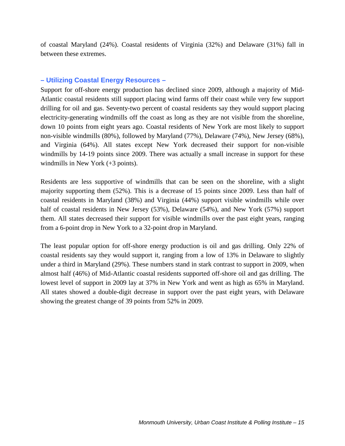of coastal Maryland (24%). Coastal residents of Virginia (32%) and Delaware (31%) fall in between these extremes.

### **– Utilizing Coastal Energy Resources –**

Support for off-shore energy production has declined since 2009, although a majority of Mid-Atlantic coastal residents still support placing wind farms off their coast while very few support drilling for oil and gas. Seventy-two percent of coastal residents say they would support placing electricity-generating windmills off the coast as long as they are not visible from the shoreline, down 10 points from eight years ago. Coastal residents of New York are most likely to support non-visible windmills (80%), followed by Maryland (77%), Delaware (74%), New Jersey (68%), and Virginia (64%). All states except New York decreased their support for non-visible windmills by 14-19 points since 2009. There was actually a small increase in support for these windmills in New York (+3 points).

Residents are less supportive of windmills that can be seen on the shoreline, with a slight majority supporting them (52%). This is a decrease of 15 points since 2009. Less than half of coastal residents in Maryland (38%) and Virginia (44%) support visible windmills while over half of coastal residents in New Jersey (53%), Delaware (54%), and New York (57%) support them. All states decreased their support for visible windmills over the past eight years, ranging from a 6-point drop in New York to a 32-point drop in Maryland.

The least popular option for off-shore energy production is oil and gas drilling. Only 22% of coastal residents say they would support it, ranging from a low of 13% in Delaware to slightly under a third in Maryland (29%). These numbers stand in stark contrast to support in 2009, when almost half (46%) of Mid-Atlantic coastal residents supported off-shore oil and gas drilling. The lowest level of support in 2009 lay at 37% in New York and went as high as 65% in Maryland. All states showed a double-digit decrease in support over the past eight years, with Delaware showing the greatest change of 39 points from 52% in 2009.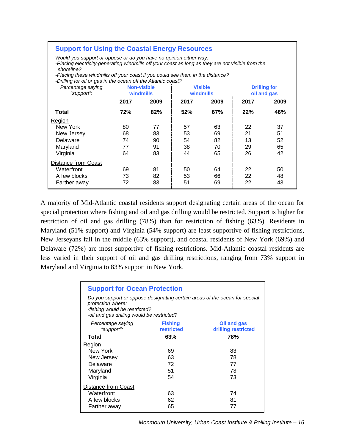| <b>Support for Using the Coastal Energy Resources</b>                                                                                                                                |            |                    |                |           |      |                     |  |  |  |
|--------------------------------------------------------------------------------------------------------------------------------------------------------------------------------------|------------|--------------------|----------------|-----------|------|---------------------|--|--|--|
| Would you support or oppose or do you have no opinion either way:<br>-Placing electricity-generating windmills off your coast as long as they are not visible from the<br>shoreline? |            |                    |                |           |      |                     |  |  |  |
| -Placing these windmills off your coast if you could see them in the distance?<br>-Drilling for oil or gas in the ocean off the Atlantic coast?                                      |            |                    |                |           |      |                     |  |  |  |
| Percentage saying                                                                                                                                                                    |            | <b>Non-visible</b> | <b>Visible</b> |           |      | <b>Drilling for</b> |  |  |  |
| "support":                                                                                                                                                                           | windmills  |                    |                | windmills |      | oil and gas         |  |  |  |
|                                                                                                                                                                                      | 2017       | 2009               | 2017           | 2009      | 2017 | 2009                |  |  |  |
| Total                                                                                                                                                                                | <b>72%</b> | 82%                | 52%            | 67%       | 22%  | 46%                 |  |  |  |
| Region                                                                                                                                                                               |            |                    |                |           |      |                     |  |  |  |
| New York                                                                                                                                                                             | 80         | 77                 | 57             | 63        | 22   | 37                  |  |  |  |
| New Jersey                                                                                                                                                                           | 68         | 83                 | 53             | 69        | 21   | 51                  |  |  |  |
| Delaware                                                                                                                                                                             | 74         | 90                 | 54             | 82        | 13   | 52                  |  |  |  |
| Maryland                                                                                                                                                                             | 77         | 91                 | 38             | 70        | 29   | 65                  |  |  |  |
| Virginia                                                                                                                                                                             | 64         | 83                 | 44             | 65        | 26   | 42                  |  |  |  |
| Distance from Coast                                                                                                                                                                  |            |                    |                |           |      |                     |  |  |  |
| Waterfront                                                                                                                                                                           | 69         | 81                 | 50             | 64        | 22   | 50                  |  |  |  |
| A few blocks                                                                                                                                                                         | 73         | 82                 | 53             | 66        | 22   | 48                  |  |  |  |
| Farther away                                                                                                                                                                         | 72         | 83                 | 51             | 69        | 22   | 43                  |  |  |  |

A majority of Mid-Atlantic coastal residents support designating certain areas of the ocean for special protection where fishing and oil and gas drilling would be restricted. Support is higher for restriction of oil and gas drilling (78%) than for restriction of fishing (63%). Residents in Maryland (51% support) and Virginia (54% support) are least supportive of fishing restrictions, New Jerseyans fall in the middle (63% support), and coastal residents of New York (69%) and Delaware (72%) are most supportive of fishing restrictions. Mid-Atlantic coastal residents are less varied in their support of oil and gas drilling restrictions, ranging from 73% support in Maryland and Virginia to 83% support in New York.

| <b>Support for Ocean Protection</b>                                                                                                                                             |                              |                                    |  |  |  |  |  |  |  |
|---------------------------------------------------------------------------------------------------------------------------------------------------------------------------------|------------------------------|------------------------------------|--|--|--|--|--|--|--|
| Do you support or oppose designating certain areas of the ocean for special<br>protection where:<br>-fishing would be restricted?<br>-oil and gas drilling would be restricted? |                              |                                    |  |  |  |  |  |  |  |
| Percentage saying<br>"support":                                                                                                                                                 | <b>Fishing</b><br>restricted | Oil and gas<br>drilling restricted |  |  |  |  |  |  |  |
| Total                                                                                                                                                                           | 63%                          | 78%                                |  |  |  |  |  |  |  |
| Region                                                                                                                                                                          |                              |                                    |  |  |  |  |  |  |  |
| New York                                                                                                                                                                        | 69                           | 83                                 |  |  |  |  |  |  |  |
| New Jersey                                                                                                                                                                      | 63                           | 78                                 |  |  |  |  |  |  |  |
| Delaware                                                                                                                                                                        | 72                           | 77                                 |  |  |  |  |  |  |  |
| Maryland                                                                                                                                                                        | 51                           | 73                                 |  |  |  |  |  |  |  |
| Virginia                                                                                                                                                                        | 54                           | 73                                 |  |  |  |  |  |  |  |
| Distance from Coast                                                                                                                                                             |                              |                                    |  |  |  |  |  |  |  |
| Waterfront                                                                                                                                                                      | 63                           | 74                                 |  |  |  |  |  |  |  |
| A few blocks                                                                                                                                                                    | 62                           | 81                                 |  |  |  |  |  |  |  |
| Farther away                                                                                                                                                                    | 65                           | 77                                 |  |  |  |  |  |  |  |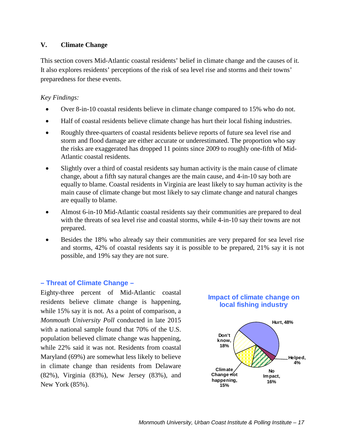## **V. Climate Change**

This section covers Mid-Atlantic coastal residents' belief in climate change and the causes of it. It also explores residents' perceptions of the risk of sea level rise and storms and their towns' preparedness for these events.

## *Key Findings:*

- Over 8-in-10 coastal residents believe in climate change compared to 15% who do not.
- Half of coastal residents believe climate change has hurt their local fishing industries.
- Roughly three-quarters of coastal residents believe reports of future sea level rise and storm and flood damage are either accurate or underestimated. The proportion who say the risks are exaggerated has dropped 11 points since 2009 to roughly one-fifth of Mid-Atlantic coastal residents.
- Slightly over a third of coastal residents say human activity is the main cause of climate change, about a fifth say natural changes are the main cause, and 4-in-10 say both are equally to blame. Coastal residents in Virginia are least likely to say human activity is the main cause of climate change but most likely to say climate change and natural changes are equally to blame.
- Almost 6-in-10 Mid-Atlantic coastal residents say their communities are prepared to deal with the threats of sea level rise and coastal storms, while 4-in-10 say their towns are not prepared.
- Besides the 18% who already say their communities are very prepared for sea level rise and storms, 42% of coastal residents say it is possible to be prepared, 21% say it is not possible, and 19% say they are not sure.

## **– Threat of Climate Change –**

Eighty-three percent of Mid-Atlantic coastal residents believe climate change is happening, while 15% say it is not. As a point of comparison, a *Monmouth University Poll* conducted in late 2015 with a national sample found that 70% of the U.S. population believed climate change was happening, while 22% said it was not. Residents from coastal Maryland (69%) are somewhat less likely to believe in climate change than residents from Delaware (82%), Virginia (83%), New Jersey (83%), and New York (85%).



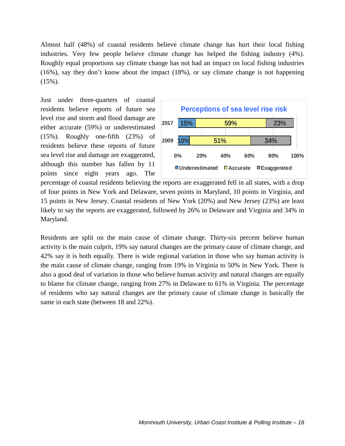Almost half (48%) of coastal residents believe climate change has hurt their local fishing industries. Very few people believe climate change has helped the fishing industry (4%). Roughly equal proportions say climate change has not had an impact on local fishing industries (16%), say they don't know about the impact (18%), or say climate change is not happening  $(15\%)$ .

Just under three-quarters of coastal residents believe reports of future sea level rise and storm and flood damage are either accurate (59%) or underestimated (15%). Roughly one-fifth (23%) of residents believe these reports of future sea level rise and damage are exaggerated, although this number has fallen by 11 points since eight years ago. The



percentage of coastal residents believing the reports are exaggerated fell in all states, with a drop of four points in New York and Delaware, seven points in Maryland, 10 points in Virginia, and 15 points in New Jersey. Coastal residents of New York (20%) and New Jersey (23%) are least likely to say the reports are exaggerated, followed by 26% in Delaware and Virginia and 34% in Maryland.

Residents are split on the main cause of climate change. Thirty-six percent believe human activity is the main culprit, 19% say natural changes are the primary cause of climate change, and 42% say it is both equally. There is wide regional variation in those who say human activity is the main cause of climate change, ranging from 19% in Virginia to 50% in New York. There is also a good deal of variation in those who believe human activity and natural changes are equally to blame for climate change, ranging from 27% in Delaware to 61% in Virginia. The percentage of residents who say natural changes are the primary cause of climate change is basically the same in each state (between 18 and 22%).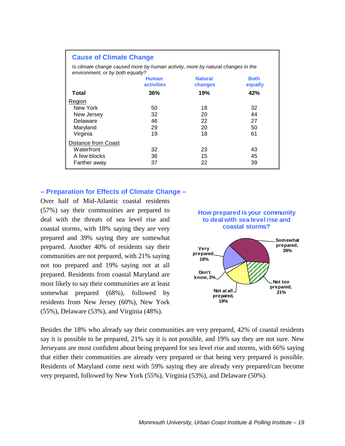| <b>Cause of Climate Change</b>                                                                                      |     |     |     |  |  |  |  |  |  |
|---------------------------------------------------------------------------------------------------------------------|-----|-----|-----|--|--|--|--|--|--|
| Is climate change caused more by human activity, more by natural changes in the<br>environment, or by both equally? |     |     |     |  |  |  |  |  |  |
| <b>Natural</b><br><b>Both</b><br><b>Human</b><br><b>activities</b><br>changes<br>equally                            |     |     |     |  |  |  |  |  |  |
| Total                                                                                                               | 36% | 19% | 42% |  |  |  |  |  |  |
| Region                                                                                                              |     |     |     |  |  |  |  |  |  |
| New York                                                                                                            | 50  | 18  | 32  |  |  |  |  |  |  |
| New Jersey                                                                                                          | 32  | 20  | 44  |  |  |  |  |  |  |
| Delaware                                                                                                            | 46  | 22  | 27  |  |  |  |  |  |  |
| Maryland                                                                                                            | 29  | 20  | 50  |  |  |  |  |  |  |
| Virginia                                                                                                            | 19  | 18  | 61  |  |  |  |  |  |  |
| Distance from Coast                                                                                                 |     |     |     |  |  |  |  |  |  |
| Waterfront                                                                                                          | 32  | 23  | 43  |  |  |  |  |  |  |
| A few blocks                                                                                                        | 36  | 15  | 45  |  |  |  |  |  |  |
| Farther away                                                                                                        | 37  | 22  | 39  |  |  |  |  |  |  |

## **– Preparation for Effects of Climate Change –**

Over half of Mid-Atlantic coastal residents (57%) say their communities are prepared to deal with the threats of sea level rise and coastal storms, with 18% saying they are very prepared and 39% saying they are somewhat prepared. Another 40% of residents say their communities are not prepared, with 21% saying not too prepared and 19% saying not at all prepared. Residents from coastal Maryland are most likely to say their communities are at least somewhat prepared (68%), followed by residents from New Jersey (60%), New York (55%), Delaware (53%), and Virginia (48%).



Besides the 18% who already say their communities are very prepared, 42% of coastal residents say it is possible to be prepared, 21% say it is not possible, and 19% say they are not sure. New Jerseyans are most confident about being prepared for sea level rise and storms, with 66% saying that either their communities are already very prepared or that being very prepared is possible. Residents of Maryland come next with 59% saying they are already very prepared/can become very prepared, followed by New York (55%), Virginia (53%), and Delaware (50%).

**19%**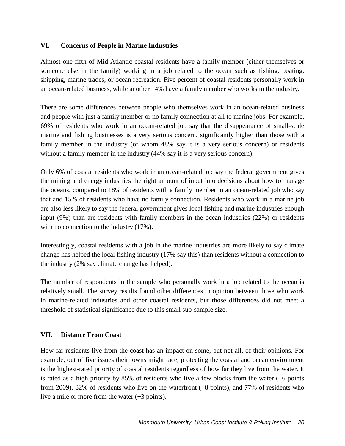## **VI. Concerns of People in Marine Industries**

Almost one-fifth of Mid-Atlantic coastal residents have a family member (either themselves or someone else in the family) working in a job related to the ocean such as fishing, boating, shipping, marine trades, or ocean recreation. Five percent of coastal residents personally work in an ocean-related business, while another 14% have a family member who works in the industry.

There are some differences between people who themselves work in an ocean-related business and people with just a family member or no family connection at all to marine jobs. For example, 69% of residents who work in an ocean-related job say that the disappearance of small-scale marine and fishing businesses is a very serious concern, significantly higher than those with a family member in the industry (of whom 48% say it is a very serious concern) or residents without a family member in the industry  $(44\% \text{ say it is a very serious concern}).$ 

Only 6% of coastal residents who work in an ocean-related job say the federal government gives the mining and energy industries the right amount of input into decisions about how to manage the oceans, compared to 18% of residents with a family member in an ocean-related job who say that and 15% of residents who have no family connection. Residents who work in a marine job are also less likely to say the federal government gives local fishing and marine industries enough input (9%) than are residents with family members in the ocean industries (22%) or residents with no connection to the industry  $(17\%)$ .

Interestingly, coastal residents with a job in the marine industries are more likely to say climate change has helped the local fishing industry (17% say this) than residents without a connection to the industry (2% say climate change has helped).

The number of respondents in the sample who personally work in a job related to the ocean is relatively small. The survey results found other differences in opinion between those who work in marine-related industries and other coastal residents, but those differences did not meet a threshold of statistical significance due to this small sub-sample size.

#### **VII. Distance From Coast**

How far residents live from the coast has an impact on some, but not all, of their opinions. For example, out of five issues their towns might face, protecting the coastal and ocean environment is the highest-rated priority of coastal residents regardless of how far they live from the water. It is rated as a high priority by  $85\%$  of residents who live a few blocks from the water  $(+6 \text{ points})$ from 2009), 82% of residents who live on the waterfront (+8 points), and 77% of residents who live a mile or more from the water (+3 points).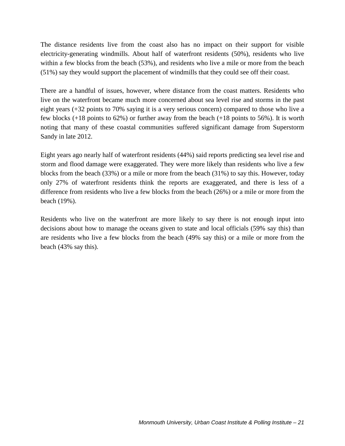The distance residents live from the coast also has no impact on their support for visible electricity-generating windmills. About half of waterfront residents (50%), residents who live within a few blocks from the beach (53%), and residents who live a mile or more from the beach (51%) say they would support the placement of windmills that they could see off their coast.

There are a handful of issues, however, where distance from the coast matters. Residents who live on the waterfront became much more concerned about sea level rise and storms in the past eight years (+32 points to 70% saying it is a very serious concern) compared to those who live a few blocks (+18 points to 62%) or further away from the beach (+18 points to 56%). It is worth noting that many of these coastal communities suffered significant damage from Superstorm Sandy in late 2012.

Eight years ago nearly half of waterfront residents (44%) said reports predicting sea level rise and storm and flood damage were exaggerated. They were more likely than residents who live a few blocks from the beach (33%) or a mile or more from the beach (31%) to say this. However, today only 27% of waterfront residents think the reports are exaggerated, and there is less of a difference from residents who live a few blocks from the beach (26%) or a mile or more from the beach (19%).

Residents who live on the waterfront are more likely to say there is not enough input into decisions about how to manage the oceans given to state and local officials (59% say this) than are residents who live a few blocks from the beach (49% say this) or a mile or more from the beach (43% say this).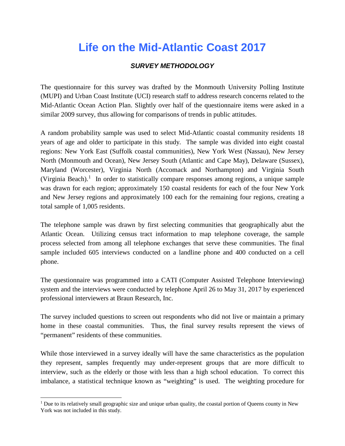## **Life on the Mid-Atlantic Coast 2017**

## *SURVEY METHODOLOGY*

The questionnaire for this survey was drafted by the Monmouth University Polling Institute (MUPI) and Urban Coast Institute (UCI) research staff to address research concerns related to the Mid-Atlantic Ocean Action Plan. Slightly over half of the questionnaire items were asked in a similar 2009 survey, thus allowing for comparisons of trends in public attitudes.

A random probability sample was used to select Mid-Atlantic coastal community residents 18 years of age and older to participate in this study. The sample was divided into eight coastal regions: New York East (Suffolk coastal communities), New York West (Nassau), New Jersey North (Monmouth and Ocean), New Jersey South (Atlantic and Cape May), Delaware (Sussex), Maryland (Worcester), Virginia North (Accomack and Northampton) and Virginia South (Virginia Beach).<sup>[1](#page-27-0)</sup> In order to statistically compare responses among regions, a unique sample was drawn for each region; approximately 150 coastal residents for each of the four New York and New Jersey regions and approximately 100 each for the remaining four regions, creating a total sample of 1,005 residents.

The telephone sample was drawn by first selecting communities that geographically abut the Atlantic Ocean. Utilizing census tract information to map telephone coverage, the sample process selected from among all telephone exchanges that serve these communities. The final sample included 605 interviews conducted on a landline phone and 400 conducted on a cell phone.

The questionnaire was programmed into a CATI (Computer Assisted Telephone Interviewing) system and the interviews were conducted by telephone April 26 to May 31, 2017 by experienced professional interviewers at Braun Research, Inc.

The survey included questions to screen out respondents who did not live or maintain a primary home in these coastal communities. Thus, the final survey results represent the views of "permanent" residents of these communities.

While those interviewed in a survey ideally will have the same characteristics as the population they represent, samples frequently may under-represent groups that are more difficult to interview, such as the elderly or those with less than a high school education. To correct this imbalance, a statistical technique known as "weighting" is used. The weighting procedure for

<span id="page-27-0"></span><sup>&</sup>lt;sup>1</sup> Due to its relatively small geographic size and unique urban quality, the coastal portion of Queens county in New York was not included in this study.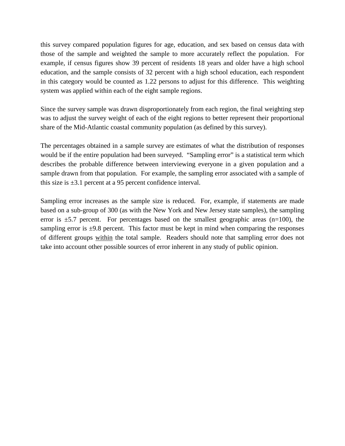this survey compared population figures for age, education, and sex based on census data with those of the sample and weighted the sample to more accurately reflect the population. For example, if census figures show 39 percent of residents 18 years and older have a high school education, and the sample consists of 32 percent with a high school education, each respondent in this category would be counted as 1.22 persons to adjust for this difference. This weighting system was applied within each of the eight sample regions.

Since the survey sample was drawn disproportionately from each region, the final weighting step was to adjust the survey weight of each of the eight regions to better represent their proportional share of the Mid-Atlantic coastal community population (as defined by this survey).

The percentages obtained in a sample survey are estimates of what the distribution of responses would be if the entire population had been surveyed. "Sampling error" is a statistical term which describes the probable difference between interviewing everyone in a given population and a sample drawn from that population. For example, the sampling error associated with a sample of this size is  $\pm 3.1$  percent at a 95 percent confidence interval.

Sampling error increases as the sample size is reduced. For, example, if statements are made based on a sub-group of 300 (as with the New York and New Jersey state samples), the sampling error is  $\pm$ 5.7 percent. For percentages based on the smallest geographic areas (n=100), the sampling error is  $\pm$ 9.8 percent. This factor must be kept in mind when comparing the responses of different groups within the total sample. Readers should note that sampling error does not take into account other possible sources of error inherent in any study of public opinion.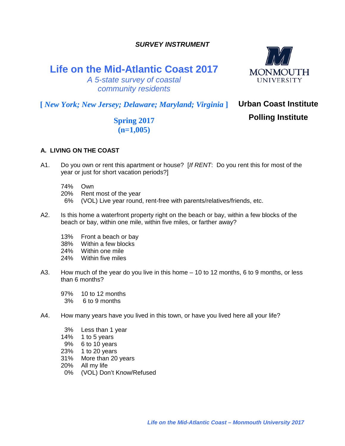*SURVEY INSTRUMENT*

## **Life on the Mid-Atlantic Coast 2017**



*A 5-state survey of coastal community residents*

**[** *New York; New Jersey; Delaware; Maryland; Virginia* **]**

## **Urban Coast Institute Polling Institute**

**Spring 2017 (n=1,005)**

## **A. LIVING ON THE COAST**

- A1. Do you own or rent this apartment or house? [*If RENT*: Do you rent this for most of the year or just for short vacation periods?]
	- 74% Own
	- 20% Rent most of the year
	- 6% (VOL) Live year round, rent-free with parents/relatives/friends, etc.
- A2. Is this home a waterfront property right on the beach or bay, within a few blocks of the beach or bay, within one mile, within five miles, or farther away?
	- 13% Front a beach or bay
	- 38% Within a few blocks
	- 24% Within one mile
	- 24% Within five miles
- A3. How much of the year do you live in this home 10 to 12 months, 6 to 9 months, or less than 6 months?
	- 97% 10 to 12 months
	- 3% 6 to 9 months
- A4. How many years have you lived in this town, or have you lived here all your life?
	- 3% Less than 1 year
	- 14% 1 to 5 years
	- 9% 6 to 10 years
	- 23% 1 to 20 years
	- 31% More than 20 years
	- 20% All my life
	- 0% (VOL) Don't Know/Refused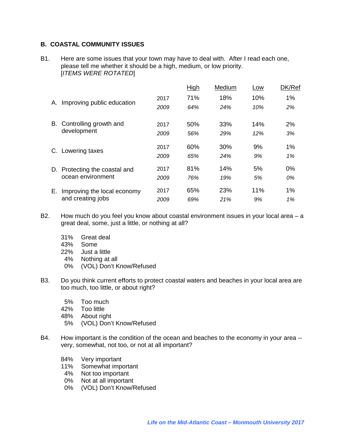#### **B. COASTAL COMMUNITY ISSUES**

B1. Here are some issues that your town may have to deal with. After I read each one, please tell me whether it should be a high, medium, or low priority. [*ITEMS WERE ROTATED*]

|    |                               |      | High | Medium | Low | DK/Ref |
|----|-------------------------------|------|------|--------|-----|--------|
|    |                               | 2017 | 71%  | 18%    | 10% | 1%     |
| А. | Improving public education    | 2009 | 64%  | 24%    | 10% | 2%     |
|    | B. Controlling growth and     | 2017 | 50%  | 33%    | 14% | 2%     |
|    | development                   | 2009 | 56%  | 29%    | 12% | 3%     |
|    | C. Lowering taxes             | 2017 | 60%  | 30%    | 9%  | 1%     |
|    |                               | 2009 | 65%  | 24%    | 9%  | 1%     |
|    | D. Protecting the coastal and | 2017 | 81%  | 14%    | 5%  | 0%     |
|    | ocean environment             | 2009 | 76%  | 19%    | 5%  | 0%     |
| Е. | Improving the local economy   | 2017 | 65%  | 23%    | 11% | 1%     |
|    | and creating jobs             | 2009 | 69%  | 21%    | 9%  | 1%     |

- B2. How much do you feel you know about coastal environment issues in your local area a great deal, some, just a little, or nothing at all?
	- 31% Great deal
	- 43% Some
	- 22% Just a little
	- 4% Nothing at all
	- 0% (VOL) Don't Know/Refused
- B3. Do you think current efforts to protect coastal waters and beaches in your local area are too much, too little, or about right?
	- 5% Too much
	- 42% Too little
	- 48% About right
	- 5% (VOL) Don't Know/Refused
- B4. How important is the condition of the ocean and beaches to the economy in your area very, somewhat, not too, or not at all important?
	- 84% Very important
	- 11% Somewhat important<br>4% Not too important
	- 4% Not too important<br>0% Not at all importan
	- Not at all important
	- 0% (VOL) Don't Know/Refused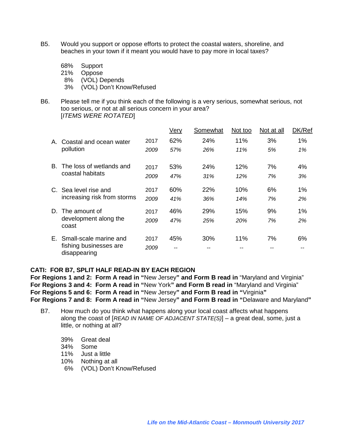- B5. Would you support or oppose efforts to protect the coastal waters, shoreline, and beaches in your town if it meant you would have to pay more in local taxes?
	- 68% Support
	- 21% Oppose
	- 8% (VOL) Depends
	- 3% (VOL) Don't Know/Refused
- B6. Please tell me if you think each of the following is a very serious, somewhat serious, not too serious, or not at all serious concern in your area? [*ITEMS WERE ROTATED*]

|    |                                        |      | Very | Somewhat | Not too    | Not at all | DK/Ref |
|----|----------------------------------------|------|------|----------|------------|------------|--------|
| Α. | Coastal and ocean water                | 2017 | 62%  | 24%      | 11%        | 3%         | $1\%$  |
|    | pollution                              | 2009 | 57%  | 26%      | 11%        | 5%         | 1%     |
| B. | The loss of wetlands and               | 2017 | 53%  | 24%      | 12%        | 7%         | 4%     |
|    | coastal habitats                       | 2009 | 47%  | 31%      | 12%        | 7%         | 3%     |
| C. | Sea level rise and                     | 2017 | 60%  | 22%      | 10%        | 6%         | 1%     |
|    | increasing risk from storms            | 2009 | 41%  | 36%      | 14%        | 7%         | 2%     |
| D. | The amount of                          | 2017 | 46%  | 29%      | 15%        | 9%         | 1%     |
|    | development along the<br>coast         | 2009 | 47%  | 25%      | <b>20%</b> | 7%         | 2%     |
|    | E. Small-scale marine and              | 2017 | 45%  | 30%      | 11%        | 7%         | 6%     |
|    | fishing businesses are<br>disappearing | 2009 |      |          |            |            |        |

#### **CATI: FOR B7, SPLIT HALF READ-IN BY EACH REGION**

**For Regions 1 and 2: Form A read in "**New Jersey**" and Form B read in** "Maryland and Virginia" **For Regions 3 and 4: Form A read in "**New York**" and Form B read in** "Maryland and Virginia" **For Regions 5 and 6: Form A read in "**New Jersey**" and Form B read in "**Virginia**" For Regions 7 and 8: Form A read in "**New Jersey**" and Form B read in "**Delaware and Maryland**"**

- B7. How much do you think what happens along your local coast affects what happens along the coast of [*READ IN NAME OF ADJACENT STATE(S)*] – a great deal, some, just a little, or nothing at all?
	- 39% Great deal
	- 34% Some
	- 11% Just a little
	- 10% Nothing at all
	- 6% (VOL) Don't Know/Refused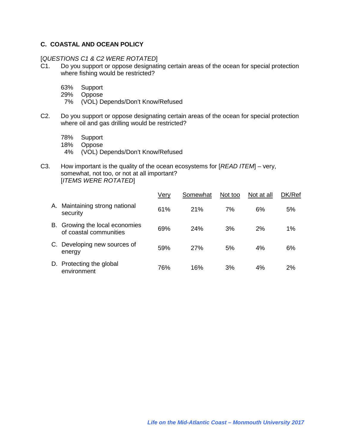## **C. COASTAL AND OCEAN POLICY**

[*QUESTIONS C1 & C2 WERE ROTATED*]

- C1. Do you support or oppose designating certain areas of the ocean for special protection where fishing would be restricted?
	- 63% Support
	- 29% Oppose
	- 7% (VOL) Depends/Don't Know/Refused
- C2. Do you support or oppose designating certain areas of the ocean for special protection where oil and gas drilling would be restricted?
	- 78% Support
	- 18% Oppose
	- 4% (VOL) Depends/Don't Know/Refused
- C3. How important is the quality of the ocean ecosystems for [*READ ITEM*] very, somewhat, not too, or not at all important? [*ITEMS WERE ROTATED*]

|    |                                                          | Very | Somewhat | Not too | Not at all | DK/Ref |
|----|----------------------------------------------------------|------|----------|---------|------------|--------|
| А. | Maintaining strong national<br>security                  | 61%  | 21%      | 7%      | 6%         | 5%     |
|    | B. Growing the local economies<br>of coastal communities | 69%  | 24%      | 3%      | 2%         | 1%     |
| C. | Developing new sources of<br>energy                      | 59%  | 27%      | 5%      | 4%         | 6%     |
|    | D. Protecting the global<br>environment                  | 76%  | 16%      | 3%      | 4%         | 2%     |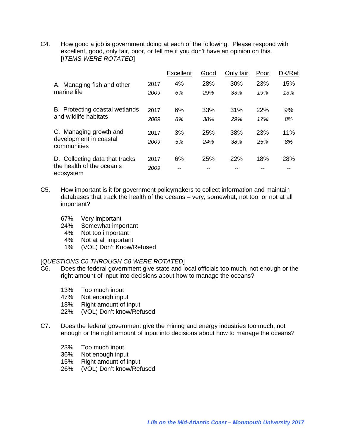C4. How good a job is government doing at each of the following. Please respond with excellent, good, only fair, poor, or tell me if you don't have an opinion on this. [*ITEMS WERE ROTATED*]

|                                                                          |      | <b>Excellent</b> | Good | Only fair | Poor | DK/Ref |
|--------------------------------------------------------------------------|------|------------------|------|-----------|------|--------|
| A. Managing fish and other<br>marine life                                | 2017 | 4%               | 28%  | 30%       | 23%  | 15%    |
|                                                                          | 2009 | 6%               | 29%  | 33%       | 19%  | 13%    |
| B. Protecting coastal wetlands<br>and wildlife habitats                  | 2017 | 6%               | 33%  | 31%       | 22%  | 9%     |
|                                                                          | 2009 | 8%               | 38%  | 29%       | 17%  | 8%     |
| C. Managing growth and<br>development in coastal<br>communities          | 2017 | 3%               | 25%  | 38%       | 23%  | 11%    |
|                                                                          | 2009 | 5%               | 24%  | 38%       | 25%  | 8%     |
| D. Collecting data that tracks<br>the health of the ocean's<br>ecosystem | 2017 | 6%               | 25%  | 22%       | 18%  | 28%    |
|                                                                          | 2009 | --               |      |           |      |        |

- C5. How important is it for government policymakers to collect information and maintain databases that track the health of the oceans – very, somewhat, not too, or not at all important?
	- 67% Very important
	- 24% Somewhat important
	- 4% Not too important
	- 4% Not at all important
	- 1% (VOL) Don't Know/Refused

#### [*QUESTIONS C6 THROUGH C8 WERE ROTATED*]

- C6. Does the federal government give state and local officials too much, not enough or the right amount of input into decisions about how to manage the oceans?
	- 13% Too much input<br>47% Not enough inpu
	- Not enough input
	- 18% Right amount of input
	- 22% (VOL) Don't know/Refused
- C7. Does the federal government give the mining and energy industries too much, not enough or the right amount of input into decisions about how to manage the oceans?
	- 23% Too much input
	- 36% Not enough input
	- 15% Right amount of input
	- 26% (VOL) Don't know/Refused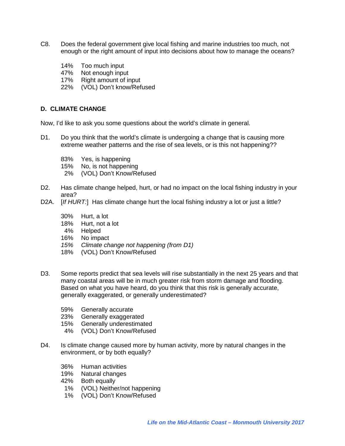- C8. Does the federal government give local fishing and marine industries too much, not enough or the right amount of input into decisions about how to manage the oceans?
	- 14% Too much input<br>47% Not enough inpu
	- Not enough input
	- 17% Right amount of input
	- 22% (VOL) Don't know/Refused

#### **D. CLIMATE CHANGE**

Now, I'd like to ask you some questions about the world's climate in general.

- D1. Do you think that the world's climate is undergoing a change that is causing more extreme weather patterns and the rise of sea levels, or is this not happening??
	- 83% Yes, is happening
	- 15% No, is not happening
	- 2% (VOL) Don't Know/Refused
- D2. Has climate change helped, hurt, or had no impact on the local fishing industry in your area?
- D2A. [*If HURT:*] Has climate change hurt the local fishing industry a lot or just a little?
	- 30% Hurt, a lot
	- 18% Hurt, not a lot
	- 4% Helped
	- 16% No impact
	- *15% Climate change not happening (from D1)*
	- 18% (VOL) Don't Know/Refused
- D3. Some reports predict that sea levels will rise substantially in the next 25 years and that many coastal areas will be in much greater risk from storm damage and flooding. Based on what you have heard, do you think that this risk is generally accurate, generally exaggerated, or generally underestimated?
	- 59% Generally accurate
	- 23% Generally exaggerated
	- 15% Generally underestimated
	- 4% (VOL) Don't Know/Refused
- D4. Is climate change caused more by human activity, more by natural changes in the environment, or by both equally?
	- 36% Human activities
	- 19% Natural changes
	- 42% Both equally
	- 1% (VOL) Neither/not happening
	- 1% (VOL) Don't Know/Refused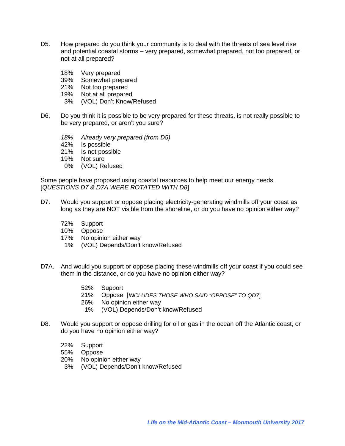- D5. How prepared do you think your community is to deal with the threats of sea level rise and potential coastal storms – very prepared, somewhat prepared, not too prepared, or not at all prepared?
	- 18% Very prepared
	- 39% Somewhat prepared
	- 21% Not too prepared
	- 19% Not at all prepared
	- 3% (VOL) Don't Know/Refused
- D6. Do you think it is possible to be very prepared for these threats, is not really possible to be very prepared, or aren't you sure?
	- *18% Already very prepared (from D5)*
	- 42% Is possible
	- 21% Is not possible
	- 19% Not sure
	- 0% (VOL) Refused

Some people have proposed using coastal resources to help meet our energy needs. [*QUESTIONS D7 & D7A WERE ROTATED WITH D8*]

- D7. Would you support or oppose placing electricity-generating windmills off your coast as long as they are NOT visible from the shoreline, or do you have no opinion either way?
	- 72% Support
	- 10% Oppose
	- 17% No opinion either way
	- 1% (VOL) Depends/Don't know/Refused
- D7A. And would you support or oppose placing these windmills off your coast if you could see them in the distance, or do you have no opinion either way?
	- 52% Support
	- 21% Oppose [*INCLUDES THOSE WHO SAID "OPPOSE" TO QD7*]
	- 26% No opinion either way
		- 1% (VOL) Depends/Don't know/Refused
- D8. Would you support or oppose drilling for oil or gas in the ocean off the Atlantic coast, or do you have no opinion either way?
	- 22% Support
	- 55% Oppose
	- 20% No opinion either way
	- 3% (VOL) Depends/Don't know/Refused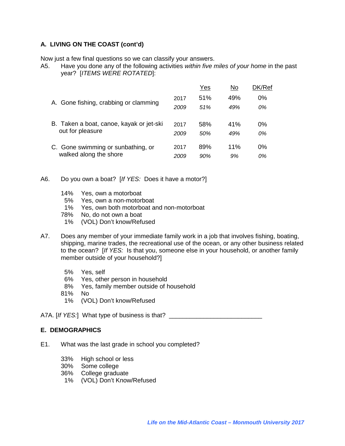### **A. LIVING ON THE COAST (cont'd)**

Now just a few final questions so we can classify your answers.

A5. Have you done any of the following activities *within five miles of your home* in the past year? [*ITEMS WERE ROTATED*]:

|                                          |      | <u>Yes</u> | No  | DK/Ref |
|------------------------------------------|------|------------|-----|--------|
|                                          | 2017 | 51%        | 49% | 0%     |
| A. Gone fishing, crabbing or clamming    | 2009 | 51%        | 49% | 0%     |
| B. Taken a boat, canoe, kayak or jet-ski | 2017 | 58%        | 41% | 0%     |
| out for pleasure                         | 2009 | 50%        | 49% | 0%     |
| C. Gone swimming or sunbathing, or       | 2017 | 89%        | 11% | 0%     |
| walked along the shore                   | 2009 | 90%        | 9%  | 0%     |

#### A6. Do you own a boat? [*If YES:* Does it have a motor?]

- 14% Yes, own a motorboat
- 5% Yes, own a non-motorboat
- 1% Yes, own both motorboat and non-motorboat
- 78% No, do not own a boat
- 1% (VOL) Don't know/Refused
- A7. Does any member of your immediate family work in a job that involves fishing, boating, shipping, marine trades, the recreational use of the ocean, or any other business related to the ocean? [*If YES:* Is that you, someone else in your household, or another family member outside of your household?]
	- 5% Yes, self
	- 6% Yes, other person in household
	- 8% Yes, family member outside of household
	- 81% No
	- 1% (VOL) Don't know/Refused

A7A. [If YES:] What type of business is that? \_\_\_\_\_\_\_\_\_\_\_\_\_\_\_\_\_\_\_\_\_\_\_\_\_\_\_\_\_\_\_\_\_\_

#### **E. DEMOGRAPHICS**

- E1. What was the last grade in school you completed?
	- 33% High school or less
	- 30% Some college
	- 36% College graduate
	- 1% (VOL) Don't Know/Refused